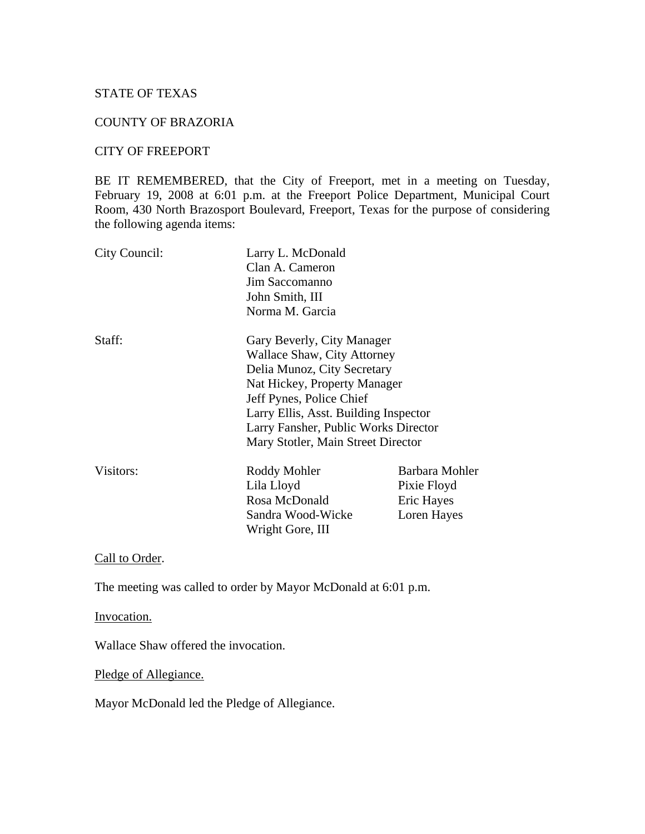# STATE OF TEXAS

# COUNTY OF BRAZORIA

#### CITY OF FREEPORT

BE IT REMEMBERED, that the City of Freeport, met in a meeting on Tuesday, February 19, 2008 at 6:01 p.m. at the Freeport Police Department, Municipal Court Room, 430 North Brazosport Boulevard, Freeport, Texas for the purpose of considering the following agenda items:

| City Council:                         | Larry L. McDonald<br>Clan A. Cameron<br>Jim Saccomanno<br>John Smith, III |                |                 |                            |
|---------------------------------------|---------------------------------------------------------------------------|----------------|-----------------|----------------------------|
|                                       |                                                                           |                |                 |                            |
|                                       |                                                                           |                | Norma M. Garcia |                            |
|                                       |                                                                           |                | Staff:          | Gary Beverly, City Manager |
|                                       | Wallace Shaw, City Attorney                                               |                |                 |                            |
| Delia Munoz, City Secretary           |                                                                           |                |                 |                            |
| Nat Hickey, Property Manager          |                                                                           |                |                 |                            |
| Jeff Pynes, Police Chief              |                                                                           |                |                 |                            |
| Larry Ellis, Asst. Building Inspector |                                                                           |                |                 |                            |
| Larry Fansher, Public Works Director  |                                                                           |                |                 |                            |
| Mary Stotler, Main Street Director    |                                                                           |                |                 |                            |
| Visitors:                             | Roddy Mohler                                                              | Barbara Mohler |                 |                            |
|                                       | Lila Lloyd                                                                | Pixie Floyd    |                 |                            |
|                                       | Rosa McDonald                                                             | Eric Hayes     |                 |                            |
|                                       | Sandra Wood-Wicke                                                         | Loren Hayes    |                 |                            |
|                                       | Wright Gore, III                                                          |                |                 |                            |

Call to Order.

The meeting was called to order by Mayor McDonald at 6:01 p.m.

Invocation.

Wallace Shaw offered the invocation.

Pledge of Allegiance.

Mayor McDonald led the Pledge of Allegiance.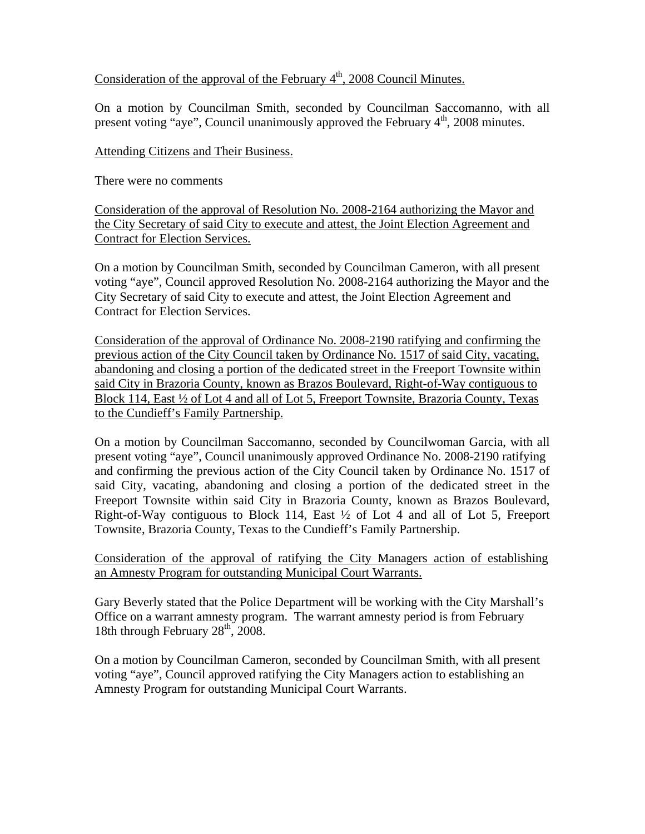# Consideration of the approval of the February  $4<sup>th</sup>$ , 2008 Council Minutes.

On a motion by Councilman Smith, seconded by Councilman Saccomanno, with all present voting "aye", Council unanimously approved the February 4<sup>th</sup>, 2008 minutes.

#### Attending Citizens and Their Business.

There were no comments

Consideration of the approval of Resolution No. 2008-2164 authorizing the Mayor and the City Secretary of said City to execute and attest, the Joint Election Agreement and Contract for Election Services.

On a motion by Councilman Smith, seconded by Councilman Cameron, with all present voting "aye", Council approved Resolution No. 2008-2164 authorizing the Mayor and the City Secretary of said City to execute and attest, the Joint Election Agreement and Contract for Election Services.

Consideration of the approval of Ordinance No. 2008-2190 ratifying and confirming the previous action of the City Council taken by Ordinance No. 1517 of said City, vacating, abandoning and closing a portion of the dedicated street in the Freeport Townsite within said City in Brazoria County, known as Brazos Boulevard, Right-of-Way contiguous to Block 114, East ½ of Lot 4 and all of Lot 5, Freeport Townsite, Brazoria County, Texas to the Cundieff's Family Partnership.

On a motion by Councilman Saccomanno, seconded by Councilwoman Garcia, with all present voting "aye", Council unanimously approved Ordinance No. 2008-2190 ratifying and confirming the previous action of the City Council taken by Ordinance No. 1517 of said City, vacating, abandoning and closing a portion of the dedicated street in the Freeport Townsite within said City in Brazoria County, known as Brazos Boulevard, Right-of-Way contiguous to Block 114, East ½ of Lot 4 and all of Lot 5, Freeport Townsite, Brazoria County, Texas to the Cundieff's Family Partnership.

Consideration of the approval of ratifying the City Managers action of establishing an Amnesty Program for outstanding Municipal Court Warrants.

Gary Beverly stated that the Police Department will be working with the City Marshall's Office on a warrant amnesty program. The warrant amnesty period is from February 18th through February  $28<sup>th</sup>$ ,  $2008$ .

On a motion by Councilman Cameron, seconded by Councilman Smith, with all present voting "aye", Council approved ratifying the City Managers action to establishing an Amnesty Program for outstanding Municipal Court Warrants.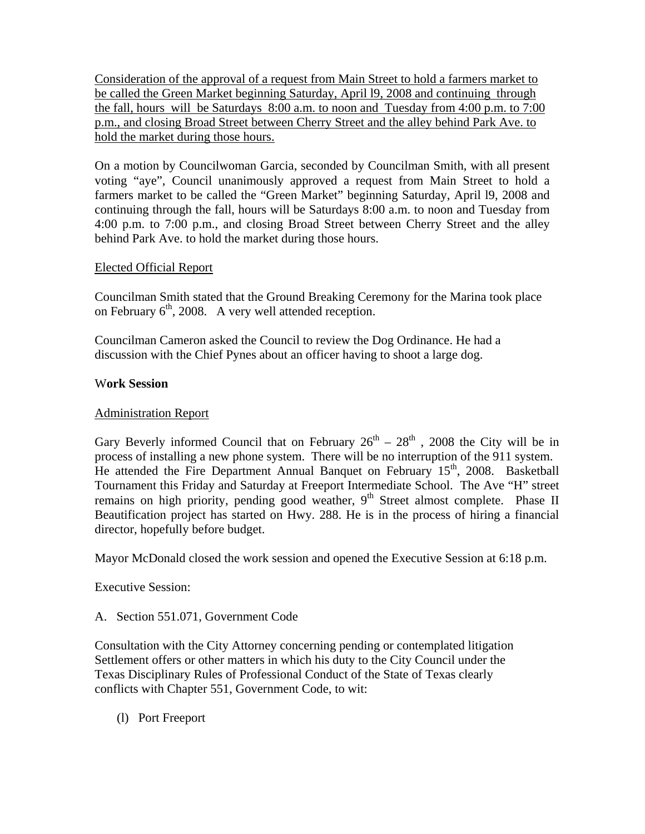Consideration of the approval of a request from Main Street to hold a farmers market to be called the Green Market beginning Saturday, April l9, 2008 and continuing through the fall, hours will be Saturdays 8:00 a.m. to noon and Tuesday from 4:00 p.m. to 7:00 p.m., and closing Broad Street between Cherry Street and the alley behind Park Ave. to hold the market during those hours.

On a motion by Councilwoman Garcia, seconded by Councilman Smith, with all present voting "aye", Council unanimously approved a request from Main Street to hold a farmers market to be called the "Green Market" beginning Saturday, April l9, 2008 and continuing through the fall, hours will be Saturdays 8:00 a.m. to noon and Tuesday from 4:00 p.m. to 7:00 p.m., and closing Broad Street between Cherry Street and the alley behind Park Ave. to hold the market during those hours.

# Elected Official Report

Councilman Smith stated that the Ground Breaking Ceremony for the Marina took place on February  $6<sup>th</sup>$ , 2008. A very well attended reception.

Councilman Cameron asked the Council to review the Dog Ordinance. He had a discussion with the Chief Pynes about an officer having to shoot a large dog.

#### W**ork Session**

# Administration Report

Gary Beverly informed Council that on February  $26^{th} - 28^{th}$ , 2008 the City will be in process of installing a new phone system. There will be no interruption of the 911 system. He attended the Fire Department Annual Banquet on February 15<sup>th</sup>, 2008. Basketball Tournament this Friday and Saturday at Freeport Intermediate School. The Ave "H" street remains on high priority, pending good weather, 9<sup>th</sup> Street almost complete. Phase II Beautification project has started on Hwy. 288. He is in the process of hiring a financial director, hopefully before budget.

Mayor McDonald closed the work session and opened the Executive Session at 6:18 p.m.

Executive Session:

A. Section 551.071, Government Code

Consultation with the City Attorney concerning pending or contemplated litigation Settlement offers or other matters in which his duty to the City Council under the Texas Disciplinary Rules of Professional Conduct of the State of Texas clearly conflicts with Chapter 551, Government Code, to wit:

(l) Port Freeport